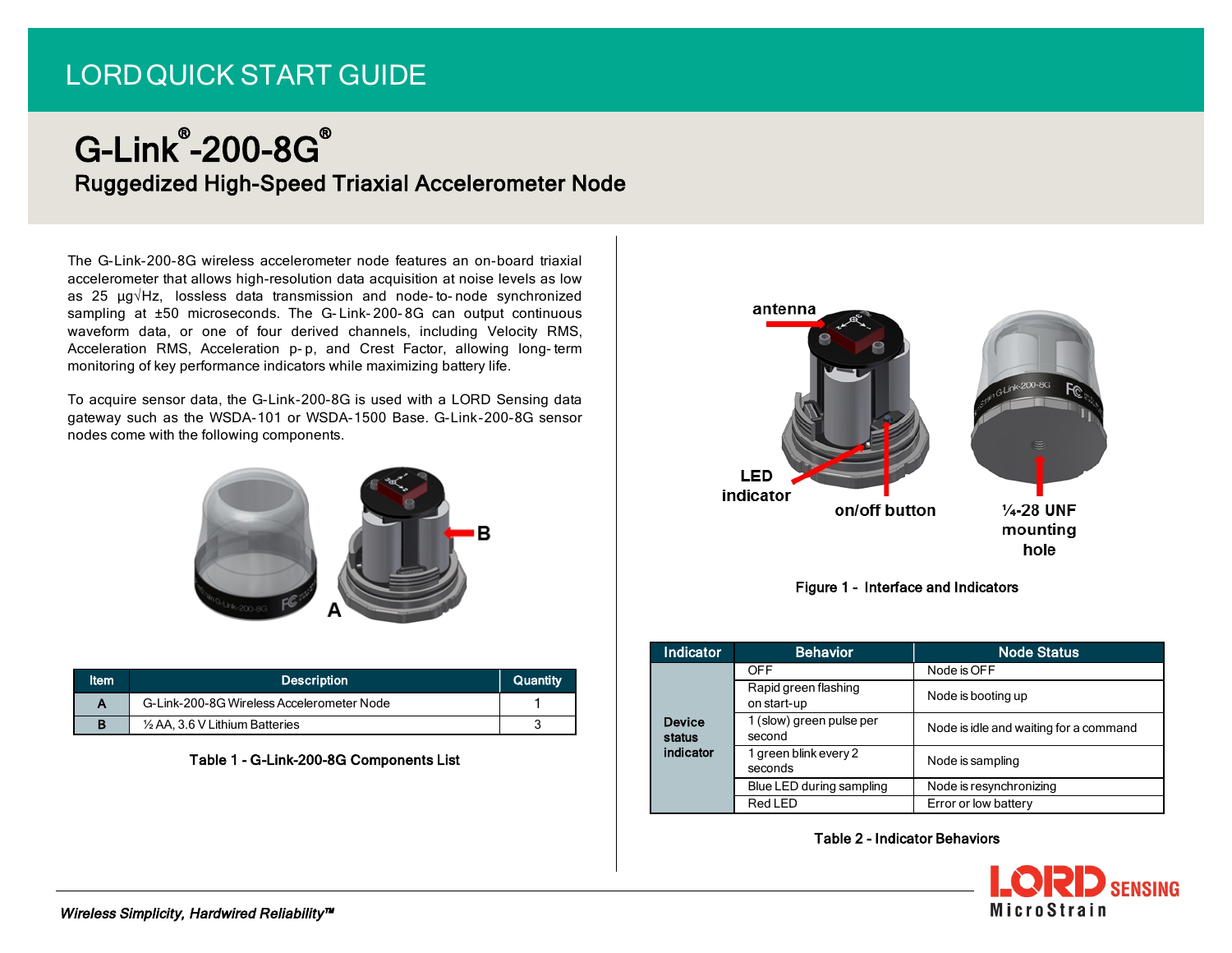# LORDQUICK START GUIDE

# G-Link® -200-8G® Ruggedized High-Speed Triaxial Accelerometer Node

The G-Link-200-8G wireless accelerometer node features an on-board triaxial accelerometer that allows high-resolution data acquisition at noise levels as low as 25 µg√Hz, lossless data transmission and node- to- node synchronized sampling at ±50 microseconds. The G- Link- 200- 8G can output continuous waveform data, or one of four derived channels, including Velocity RMS, Acceleration RMS, Acceleration p-p, and Crest Factor, allowing long-term monitoring of key performance indicators while maximizing battery life.

To acquire sensor data, the G-Link-200-8G is used with a LORD Sensing data gateway such as the WSDA-101 or WSDA-1500 Base. G-Link-200-8G sensor nodes come with the following components.



| ltem | <b>Description</b>                        | Quantity |
|------|-------------------------------------------|----------|
|      | G-Link-200-8G Wireless Accelerometer Node |          |
|      | $\frac{1}{2}$ AA, 3.6 V Lithium Batteries |          |

#### Table 1 - G-Link-200-8G Components List





| Indicator               | <b>Behavior</b>                     | <b>Node Status</b>                     |
|-------------------------|-------------------------------------|----------------------------------------|
|                         | <b>OFF</b>                          | Node is OFF                            |
|                         | Rapid green flashing<br>on start-up | Node is booting up                     |
| <b>Device</b><br>status | 1 (slow) green pulse per<br>second  | Node is idle and waiting for a command |
| indicator               | 1 green blink every 2<br>seconds    | Node is sampling                       |
|                         | Blue LED during sampling            | Node is resynchronizing                |
|                         | Red LED                             | Error or low battery                   |

# Table 2 - Indicator Behaviors

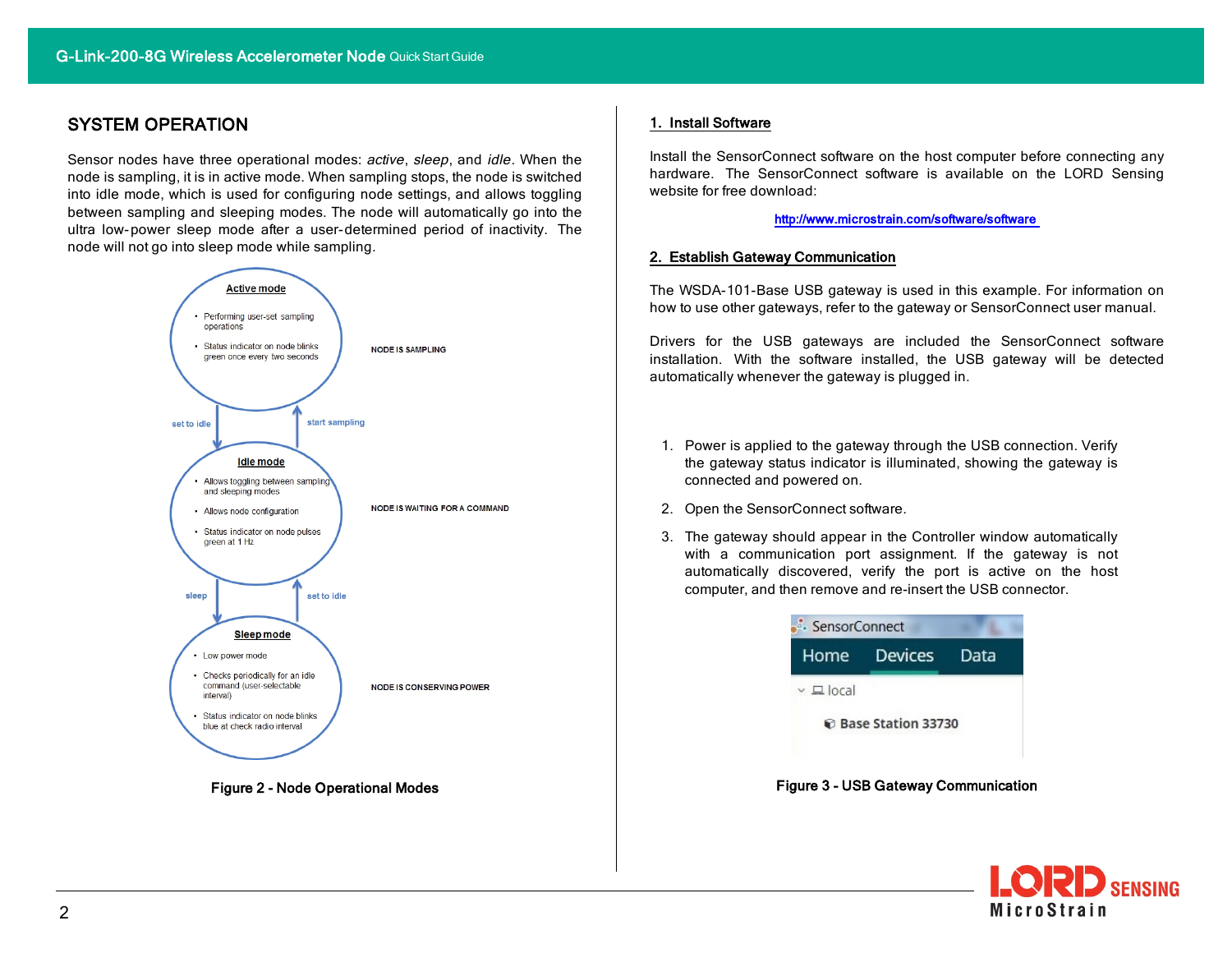# SYSTEM OPERATION

Sensor nodes have three operational modes: active, sleep, and idle. When the node is sampling, it is in active mode. When sampling stops, the node is switched into idle mode, which is used for configuring node settings, and allows toggling between sampling and sleeping modes. The node will automatically go into the ultra low-power sleep mode after a user-determined period of inactivity. The node will not go into sleep mode while sampling.



Figure 2 - Node Operational Modes

#### 1. Install Software

Install the SensorConnect software on the host computer before connecting any hardware. The SensorConnect software is available on the LORD Sensing website for free download:

#### [http://www.microstrain.com/software/software](http://www.microstrain.com/software/mscl)

#### 2. Establish Gateway Communication

The WSDA-101-Base USB gateway is used in this example. For information on how to use other gateways, refer to the gateway or SensorConnect user manual.

Drivers for the USB gateways are included the SensorConnect software installation. With the software installed, the USB gateway will be detected automatically whenever the gateway is plugged in.

- 1. Power is applied to the gateway through the USB connection. Verify the gateway status indicator is illuminated, showing the gateway is connected and powered on.
- 2. Open the SensorConnect software.
- 3. The gateway should appear in the Controller window automatically with a communication port assignment. If the gateway is not automatically discovered, verify the port is active on the host computer, and then remove and re-insert the USB connector.



Figure 3 - USB Gateway Communication

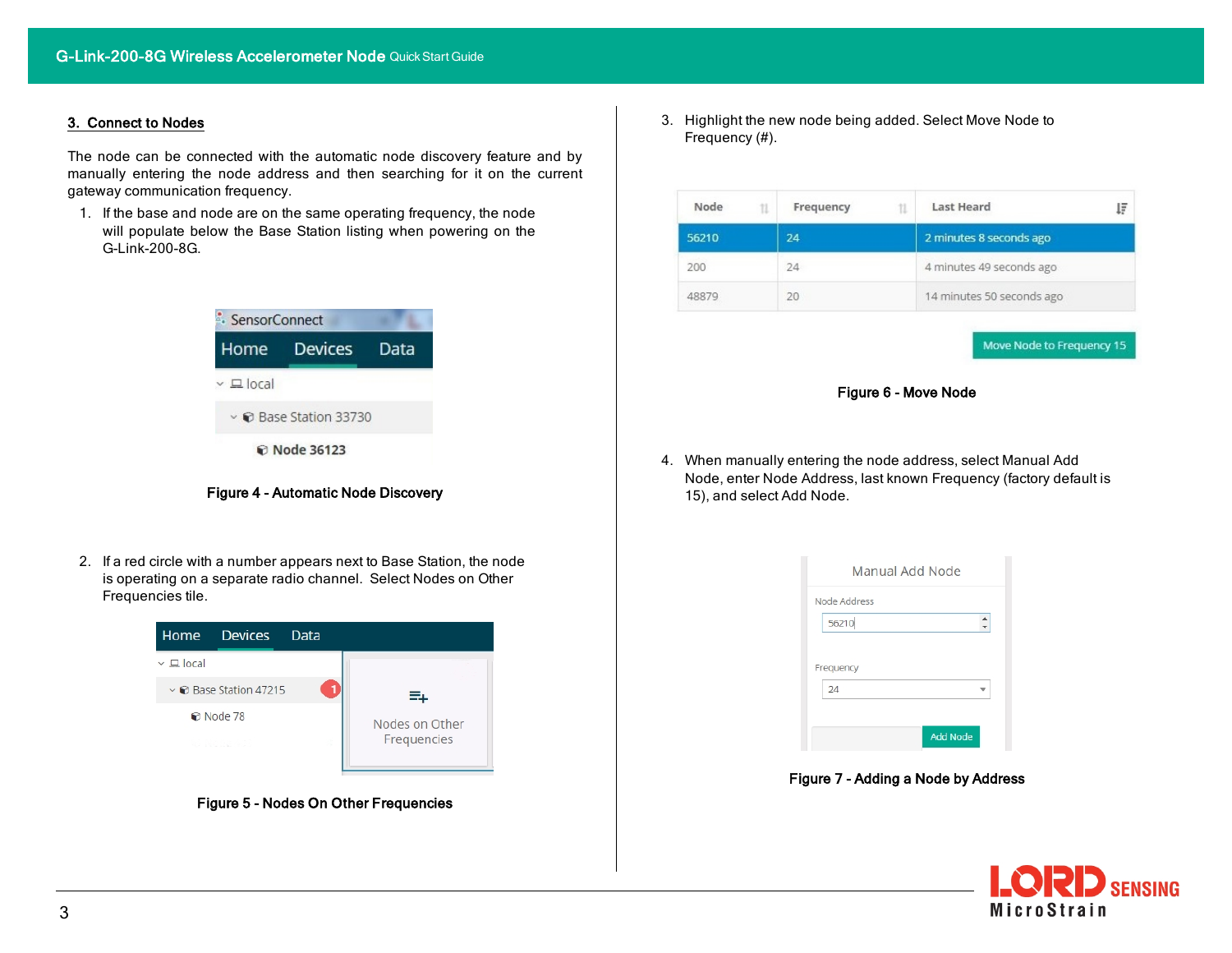# 3. Connect to Nodes

The node can be connected with the automatic node discovery feature and by manually entering the node address and then searching for it on the current gateway communication frequency.

1. If the base and node are on the same operating frequency, the node will populate below the Base Station listing when powering on the G-Link-200-8G.



Figure 4 - Automatic Node Discovery

2. If a red circle with a number appears next to Base Station, the node is operating on a separate radio channel. Select Nodes on Other Frequencies tile.



Figure 5 - Nodes On Other Frequencies

3. Highlight the new node being added. Select Move Node to Frequency (#).

| Node  | Frequency | <b>Last Heard</b><br>ĮΞ   |  |
|-------|-----------|---------------------------|--|
| 56210 | 24        | 2 minutes 8 seconds ago   |  |
| 200   | 24        | 4 minutes 49 seconds ago  |  |
| 48879 | 20        | 14 minutes 50 seconds ago |  |

Move Node to Frequency 15



4. When manually entering the node address, select Manual Add Node, enter Node Address, last known Frequency (factory default is 15), and select Add Node.



Figure 7 - Adding a Node by Address

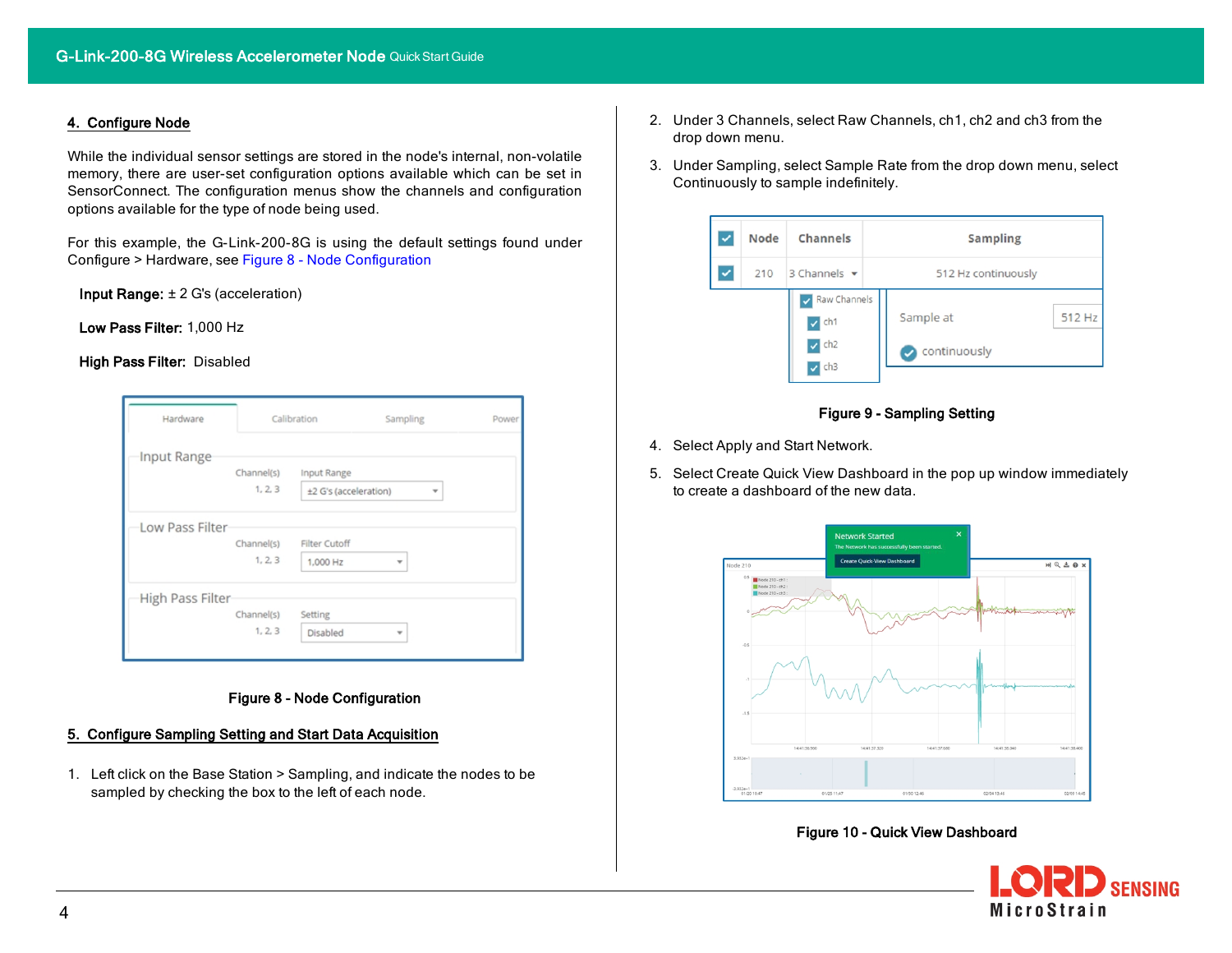# 4. Configure Node

While the individual sensor settings are stored in the node's internal, non-volatile memory, there are user-set configuration options available which can be set in SensorConnect. The configuration menus show the channels and configuration options available for the type of node being used.

For this example, the G-Link-200-8G is using the default settings found under Configure > Hardware, see Figure 8 - Node [Configuration](#page-3-0)

Input Range: ± 2 G's (acceleration)

Low Pass Filter: 1,000 Hz

#### High Pass Filter: Disabled

| Hardware         | Calibration                      | Sampling                                              | Power |
|------------------|----------------------------------|-------------------------------------------------------|-------|
| Input Range      | Channel(s)<br>1, 2, 3            | Input Range<br>±2 G's (acceleration)<br>$\mathbf{v}$  |       |
| Low Pass Filter  | Channel(s)<br>1, 2, 3            | Filter Cutoff<br>1,000 Hz<br>$\overline{\phantom{a}}$ |       |
| High Pass Filter | Channel(s)<br>Setting<br>1, 2, 3 | Disabled<br>$\overline{\phantom{a}}$                  |       |

# Figure 8 - Node Configuration

# <span id="page-3-0"></span>5. Configure Sampling Setting and Start Data Acquisition

1. Left click on the Base Station > Sampling, and indicate the nodes to be sampled by checking the box to the left of each node.

- 2. Under 3 Channels, select Raw Channels, ch1, ch2 and ch3 from the drop down menu.
- 3. Under Sampling, select Sample Rate from the drop down menu, select Continuously to sample indefinitely.



# Figure 9 - Sampling Setting

- 4. Select Apply and Start Network.
- 5. Select Create Quick View Dashboard in the pop up window immediately to create a dashboard of the new data.



#### Figure 10 - Quick View Dashboard